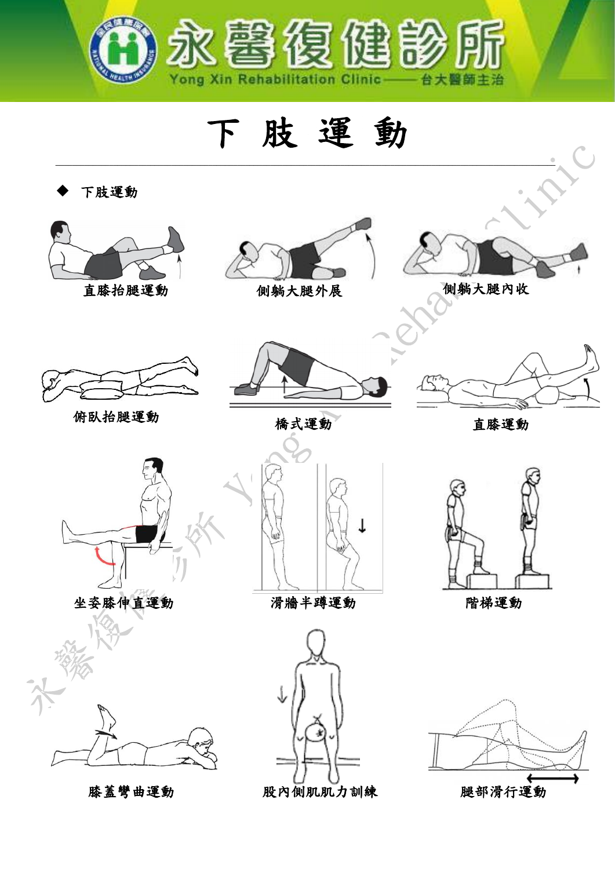

下 肢 運 動